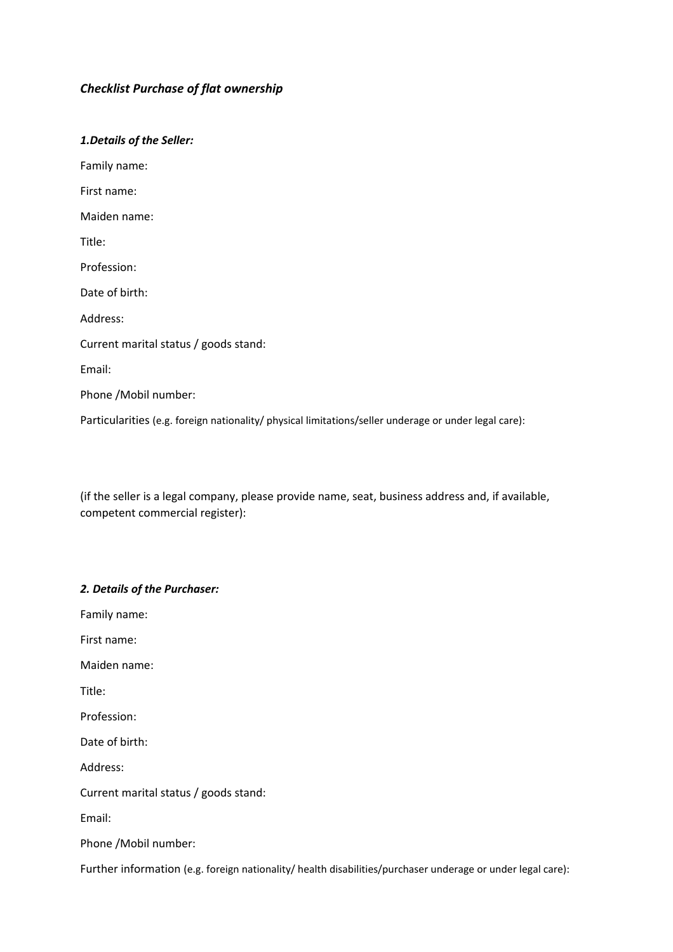# *Checklist Purchase of flat ownership*

#### *1.Details of the Seller:*

Family name:

First name:

Maiden name:

Title:

Profession:

Date of birth:

Address:

Current marital status / goods stand:

Email:

Phone /Mobil number:

Particularities (e.g. foreign nationality/ physical limitations/seller underage or under legal care):

(if the seller is a legal company, please provide name, seat, business address and, if available, competent commercial register):

### *2. Details of the Purchaser:*

Family name:

First name:

Maiden name:

Title:

Profession:

Date of birth:

Address:

Current marital status / goods stand:

Email:

Phone /Mobil number:

Further information (e.g. foreign nationality/ health disabilities/purchaser underage or under legal care):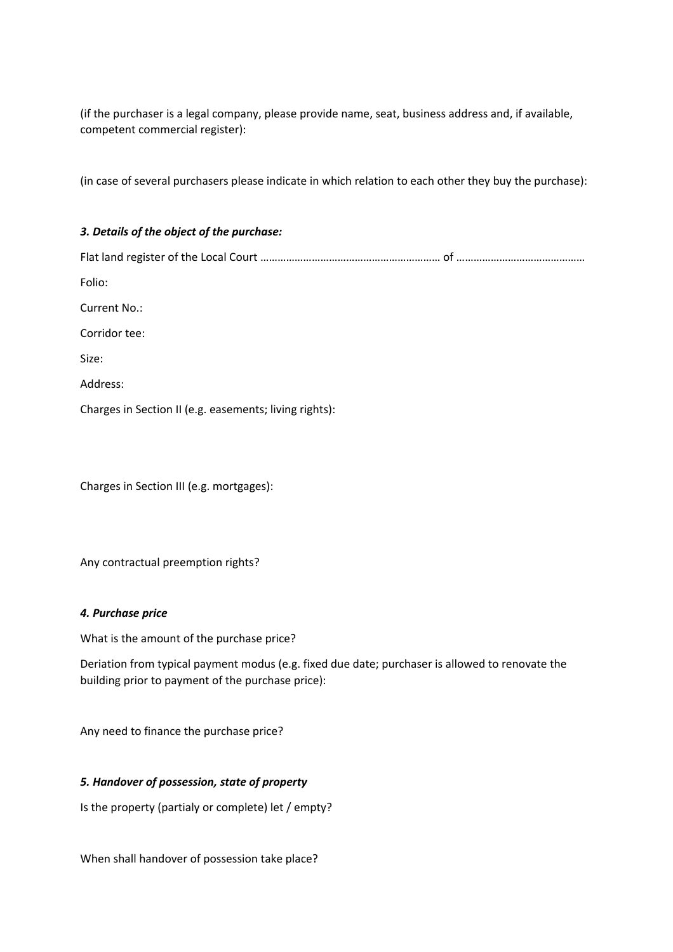(if the purchaser is a legal company, please provide name, seat, business address and, if available, competent commercial register):

(in case of several purchasers please indicate in which relation to each other they buy the purchase):

# *3. Details of the object of the purchase:*

Flat land register of the Local Court ……………………………………………………… of ……………………………………… Folio: Current No.: Corridor tee: Size: Address:

Charges in Section II (e.g. easements; living rights):

Charges in Section III (e.g. mortgages):

Any contractual preemption rights?

### *4. Purchase price*

What is the amount of the purchase price?

Deriation from typical payment modus (e.g. fixed due date; purchaser is allowed to renovate the building prior to payment of the purchase price):

Any need to finance the purchase price?

### *5. Handover of possession, state of property*

Is the property (partialy or complete) let / empty?

When shall handover of possession take place?